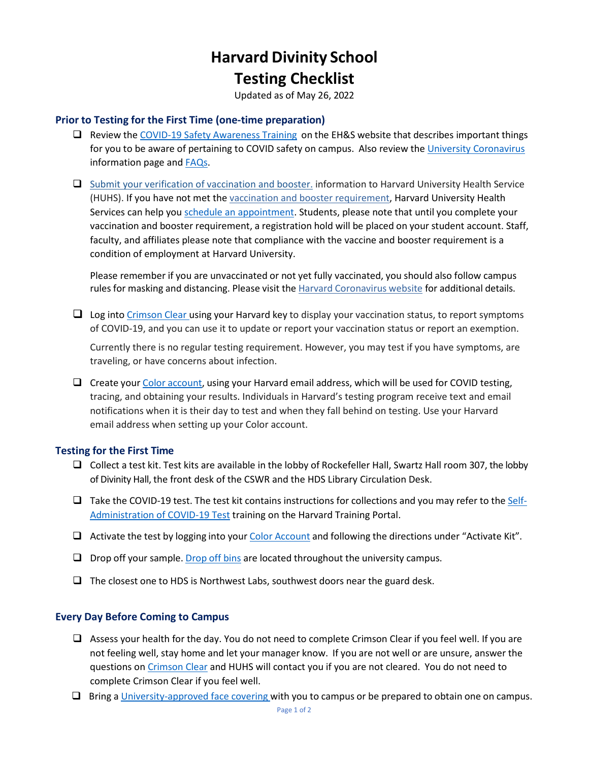# **Harvard Divinity School Testing Checklist**

Updated as of May 26, 2022

### **Prior to Testing for the First Time (one-time preparation)**

- $\Box$  Review the COVID-19 Safety [Awareness](https://www.ehs.harvard.edu/covid-19-resources/secure/covid-19-safety-awareness-training) Training on the EH&S website that describes important things for you to be aware of pertaining to COVID safety on campus. Also review the [University Coronavirus](https://www.harvard.edu/coronavirus/) information page an[d FAQs.](https://www.harvard.edu/coronavirus/faq/)
- □ [Submit your verification of vaccination a](https://www.harvard.edu/coronavirus/verify-your-vaccination/)nd booster. information to Harvard University Health Service (HUHS). If you have not met th[e vaccination and booster requirement,](https://huhs.harvard.edu/covid-19-vaccine-requirement-faqs) Harvard University Health Services can help yo[u schedule an appointment.](https://huhs.harvard.edu/sites/default/files/Instructions_COVID_Vaccine_Appointment.pdf) Students, please note that until you complete your vaccination and booster requirement, a registration hold will be placed on your student account. Staff, faculty, and affiliates please note that compliance with the vaccine and booster requirement is a condition of employment at Harvard University.

Please remember if you are unvaccinated or not yet fully vaccinated, you should also follow campus rules for masking and distancing. Please visit the Harvard [Coronavirus](https://www.harvard.edu/coronavirus/campus-access/) website for additional details.

 $\Box$  Log into [Crimson](https://crimsonclear.harvard.edu/) Clear using your Harvard key to display your vaccination status, to report symptoms of COVID-19, and you can use it to update or report your vaccination status or report an exemption.

Currently there is no regular testing requirement. However, you may test if you have symptoms, are traveling, or have concerns about infection.

 $\Box$  Create your Color [account,](https://home.color.com/create-account?next=%2Fcovid%2Factivation) using your Harvard email address, which will be used for COVID testing, tracing, and obtaining your results. Individuals in Harvard's testing program receive text and email notifications when it is their day to test and when they fall behind on testing. Use your Harvard email address when setting up your Color account.

#### **Testing for the First Time**

- □ Collect a test kit. Test kits are available in the lobby of Rockefeller Hall, Swartz Hall room 307, the lobby of Divinity Hall, the front desk of the CSWR and the HDS Library Circulation Desk.
- $\Box$  Take the COVID-19 test. The test kit contains instructions for collections and you may refer to the [Self-](https://trainingportal.harvard.edu/Saba/Web_spf/NA1PRD0068/app/me/learningeventdetail/cours000000000020701?classId=dowbt000000000008920)[Administration of COVID-19 Test](https://trainingportal.harvard.edu/Saba/Web_spf/NA1PRD0068/app/me/learningeventdetail/cours000000000020701?classId=dowbt000000000008920) training on the Harvard Training Portal.
- $\Box$  Activate the test by logging into your Color [Account](http://home.color.com/) and following the directions under "Activate Kit".
- $\Box$  [Drop](https://www.google.com/maps/d/u/0/viewer?hl=en&mid=1Q3-6GosJW6iS-baoftdeF_x6wQFakZe9&ll=42.364015517146775%2C-71.12069923813904&z=12) off your sample. Drop off bins are located throughout the university campus.
- $\Box$  The closest one to HDS is Northwest Labs, southwest doors near the guard desk.

#### **Every Day Before Coming to Campus**

- $\Box$  Assess your health for the day. You do not need to complete Crimson Clear if you feel well. If you are not feeling well, stay home and let your manager know. If you are not well or are unsure, answer the questions o[n Crimson Clear](https://crimsonclear.harvard.edu/) and HUHS will contact you if you are not cleared. You do not need to complete Crimson Clear if you feel well.
- **Bring a [University-approved](https://www.ehs.harvard.edu/sites/default/files/face_coverings_general_use_campus_wide_cd048a_0.pdf) face covering with you to campus or be prepared to obtain one on campus.**